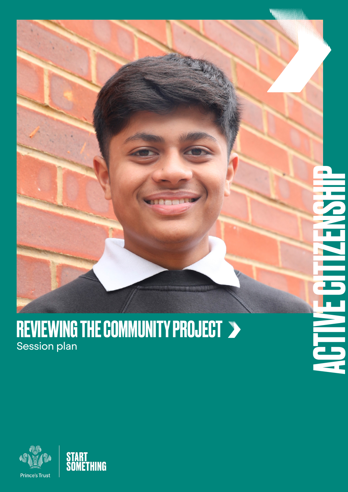

#### REVIEWING THE COMMUNITY PROJECT Session plan



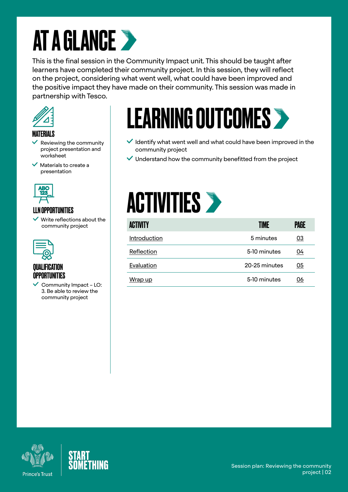### AT A GLANCE >

This is the final session in the Community Impact unit. This should be taught after learners have completed their community project. In this session, they will reflect on the project, considering what went well, what could have been improved and the positive impact they have made on their community. This session was made in partnership with Tesco.



#### MATERIALS

- Reviewing the community project presentation and worksheet
- $\blacktriangledown$  Materials to create a presentation



#### LLN OPPORTUNITIES

 $\checkmark$  Write reflections about the community project



#### QUALIFICATION OPPORTUNITIES

 Community Impact – LO: 3. Be able to review the community project

### LEARNING OUTCOMES<sup>></sup>

- $\checkmark$  Identify what went well and what could have been improved in the community project
- $\vee$  Understand how the community benefitted from the project



| <b>ACTIVITY</b> | TIME          | PAGE      |
|-----------------|---------------|-----------|
| Introduction    | 5 minutes     | <u>03</u> |
| Reflection      | 5-10 minutes  | 04        |
| Evaluation      | 20-25 minutes | 05        |
| Wrap up         | 5-10 minutes  | 06        |



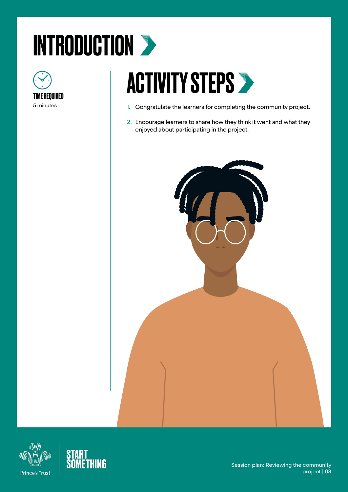# <span id="page-2-0"></span>INTRODUCTION >



### **ACTIVITY STEPS >**

- 1. Congratulate the learners for completing the community project.
- 2. Encourage learners to share how they think it went and what they enjoyed about participating in the project.





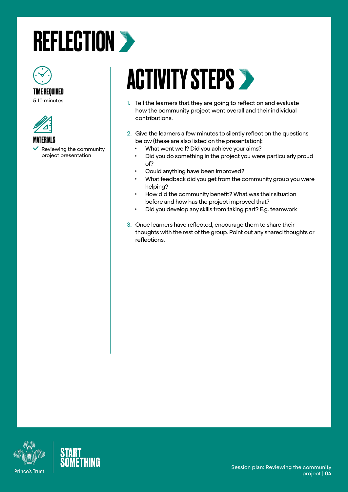#### <span id="page-3-0"></span>**REFLECTION >**



5-10 minutes



MATERIALS

 Reviewing the community project presentation

### **ACTIVITY STEPS >**

- 1. Tell the learners that they are going to reflect on and evaluate how the community project went overall and their individual contributions.
- 2. Give the learners a few minutes to silently reflect on the questions below (these are also listed on the presentation):
	- What went well? Did you achieve your aims?
	- Did you do something in the project you were particularly proud of?
	- Could anything have been improved?
	- What feedback did you get from the community group you were helping?
	- How did the community benefit? What was their situation before and how has the project improved that?
	- Did you develop any skills from taking part? E.g. teamwork
- 3. Once learners have reflected, encourage them to share their thoughts with the rest of the group. Point out any shared thoughts or reflections.



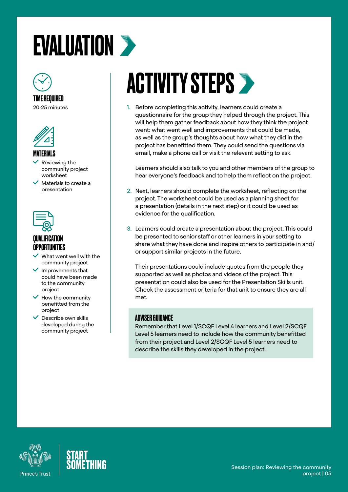### <span id="page-4-0"></span>EVALUATION >



#### TIME REQUIRED

20-25 minutes



#### MATERIALS

- Reviewing the community project worksheet
- Materials to create a presentation



#### **QUALIFICATIO OPPORTUNITIES**

- What went well with the community project
- $\checkmark$  Improvements that could have been made to the community project
- How the community benefitted from the project
- Describe own skills developed during the community project

## ACTIVITY STEPS >

1. Before completing this activity, learners could create a questionnaire for the group they helped through the project. This will help them gather feedback about how they think the project went: what went well and improvements that could be made, as well as the group's thoughts about how what they did in the project has benefitted them. They could send the questions via email, make a phone call or visit the relevant setting to ask.

Learners should also talk to you and other members of the group to hear everyone's feedback and to help them reflect on the project.

- 2. Next, learners should complete the worksheet, reflecting on the project. The worksheet could be used as a planning sheet for a presentation (details in the next step) or it could be used as evidence for the qualification.
- 3. Learners could create a presentation about the project. This could be presented to senior staff or other learners in your setting to share what they have done and inspire others to participate in and/ or support similar projects in the future.

Their presentations could include quotes from the people they supported as well as photos and videos of the project. This presentation could also be used for the Presentation Skills unit. Check the assessment criteria for that unit to ensure they are all met.

#### ADVISER GUIDANCE

Remember that Level 1/SCQF Level 4 learners and Level 2/SCQF Level 5 learners need to include how the community benefitted from their project and Level 2/SCQF Level 5 learners need to describe the skills they developed in the project.